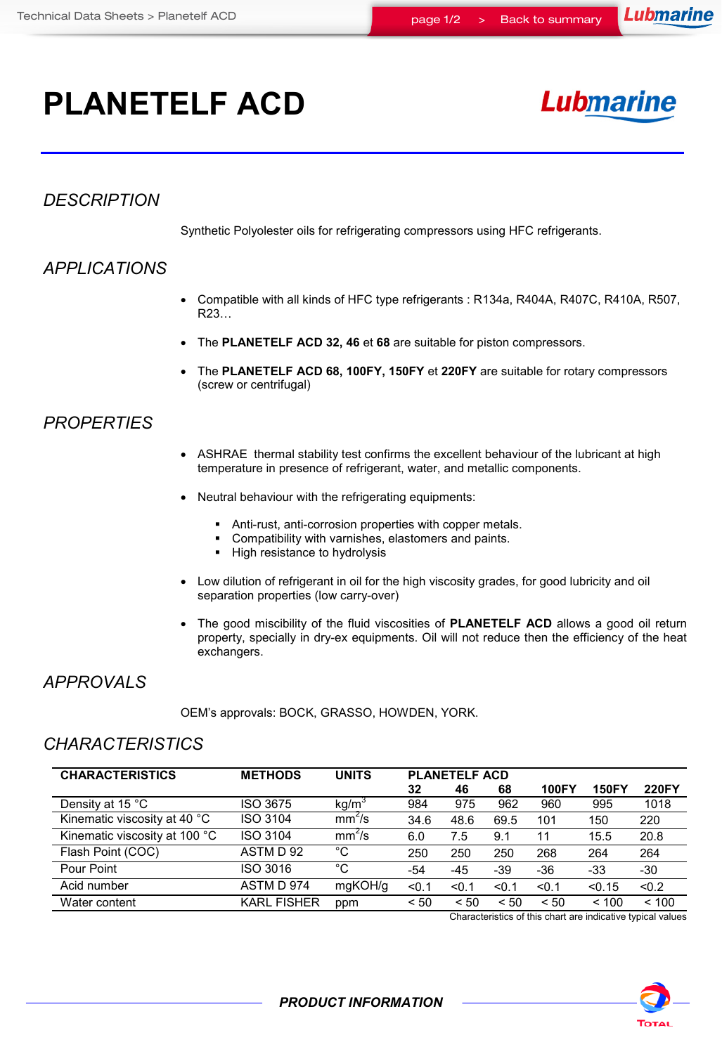# **PLANETELF ACD**

## **Lubmarine**

### *DESCRIPTION*

Synthetic Polyolester oils for refrigerating compressors using HFC refrigerants.

## *APPLICATIONS*

- Compatible with all kinds of HFC type refrigerants : R134a, R404A, R407C, R410A, R507, R23…
- The **PLANETELF ACD 32, 46** et **68** are suitable for piston compressors.
- The **PLANETELF ACD 68, 100FY, 150FY** et **220FY** are suitable for rotary compressors (screw or centrifugal)

#### *PROPERTIES*

- ASHRAE thermal stability test confirms the excellent behaviour of the lubricant at high temperature in presence of refrigerant, water, and metallic components.
- Neutral behaviour with the refrigerating equipments:
	- Anti-rust, anti-corrosion properties with copper metals.
	- Compatibility with varnishes, elastomers and paints.
	- High resistance to hydrolysis
- Low dilution of refrigerant in oil for the high viscosity grades, for good lubricity and oil separation properties (low carry-over)
- The good miscibility of the fluid viscosities of **PLANETELF ACD** allows a good oil return property, specially in dry-ex equipments. Oil will not reduce then the efficiency of the heat exchangers.

#### *APPROVALS*

OEM's approvals: BOCK, GRASSO, HOWDEN, YORK.

#### *CHARACTERISTICS*

| <b>CHARACTERISTICS</b>        | <b>METHODS</b>     | <b>UNITS</b>       | <b>PLANETELF ACD</b> |       |       |              |              |              |
|-------------------------------|--------------------|--------------------|----------------------|-------|-------|--------------|--------------|--------------|
|                               |                    |                    | 32                   | 46    | 68    | <b>100FY</b> | <b>150FY</b> | <b>220FY</b> |
| Density at 15 °C              | ISO 3675           | kg/m <sup>3</sup>  | 984                  | 975   | 962   | 960          | 995          | 1018         |
| Kinematic viscosity at 40 °C  | <b>ISO 3104</b>    | mm <sup>2</sup> /s | 34.6                 | 48.6  | 69.5  | 101          | 150          | 220          |
| Kinematic viscosity at 100 °C | <b>ISO 3104</b>    | mm <sup>2</sup> /s | 6.0                  | 7.5   | 9.1   | 11           | 15.5         | 20.8         |
| Flash Point (COC)             | ASTM D 92          | $^{\circ}$ C       | 250                  | 250   | 250   | 268          | 264          | 264          |
| Pour Point                    | ISO 3016           | $^{\circ}C$        | -54                  | -45   | $-39$ | $-36$        | $-33$        | $-30$        |
| Acid number                   | ASTM D 974         | mgKOH/g            | < 0.1                | < 0.1 | < 0.1 | < 0.1        | < 0.15       | < 0.2        |
| Water content                 | <b>KARL FISHER</b> | ppm                | < 50                 | < 50  | < 50  | < 50         | ~100         | < 100        |

Characteristics of this chart are indicative typical values